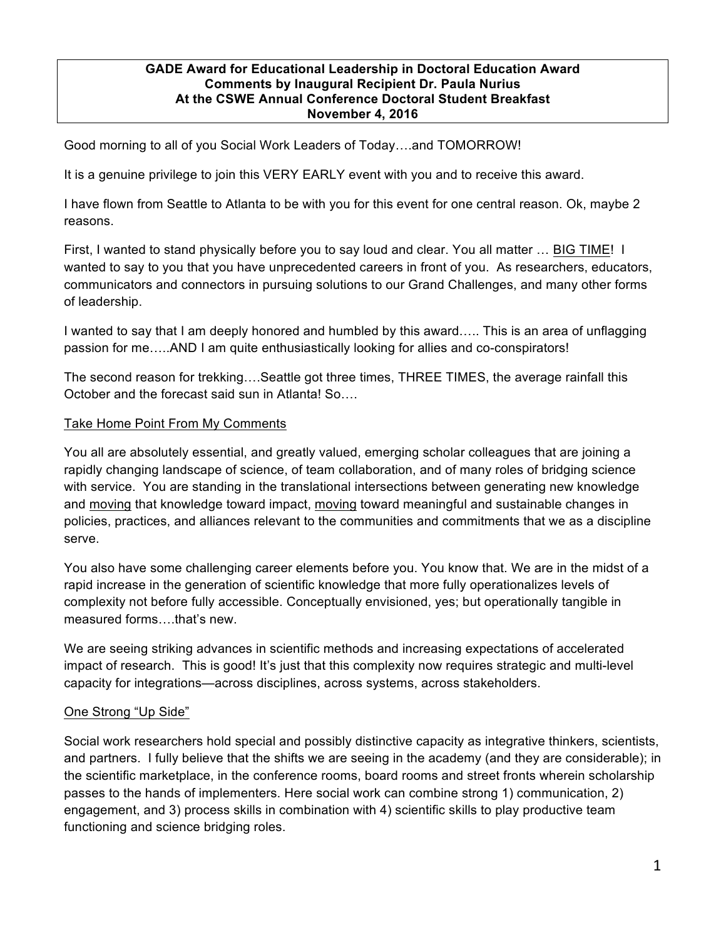#### **GADE Award for Educational Leadership in Doctoral Education Award Comments by Inaugural Recipient Dr. Paula Nurius At the CSWE Annual Conference Doctoral Student Breakfast November 4, 2016**

Good morning to all of you Social Work Leaders of Today….and TOMORROW!

It is a genuine privilege to join this VERY EARLY event with you and to receive this award.

I have flown from Seattle to Atlanta to be with you for this event for one central reason. Ok, maybe 2 reasons.

First, I wanted to stand physically before you to say loud and clear. You all matter … BIG TIME! I wanted to say to you that you have unprecedented careers in front of you. As researchers, educators, communicators and connectors in pursuing solutions to our Grand Challenges, and many other forms of leadership.

I wanted to say that I am deeply honored and humbled by this award….. This is an area of unflagging passion for me…..AND I am quite enthusiastically looking for allies and co-conspirators!

The second reason for trekking….Seattle got three times, THREE TIMES, the average rainfall this October and the forecast said sun in Atlanta! So….

### Take Home Point From My Comments

You all are absolutely essential, and greatly valued, emerging scholar colleagues that are joining a rapidly changing landscape of science, of team collaboration, and of many roles of bridging science with service. You are standing in the translational intersections between generating new knowledge and moving that knowledge toward impact, moving toward meaningful and sustainable changes in policies, practices, and alliances relevant to the communities and commitments that we as a discipline serve.

You also have some challenging career elements before you. You know that. We are in the midst of a rapid increase in the generation of scientific knowledge that more fully operationalizes levels of complexity not before fully accessible. Conceptually envisioned, yes; but operationally tangible in measured forms….that's new.

We are seeing striking advances in scientific methods and increasing expectations of accelerated impact of research. This is good! It's just that this complexity now requires strategic and multi-level capacity for integrations—across disciplines, across systems, across stakeholders.

#### One Strong "Up Side"

Social work researchers hold special and possibly distinctive capacity as integrative thinkers, scientists, and partners. I fully believe that the shifts we are seeing in the academy (and they are considerable); in the scientific marketplace, in the conference rooms, board rooms and street fronts wherein scholarship passes to the hands of implementers. Here social work can combine strong 1) communication, 2) engagement, and 3) process skills in combination with 4) scientific skills to play productive team functioning and science bridging roles.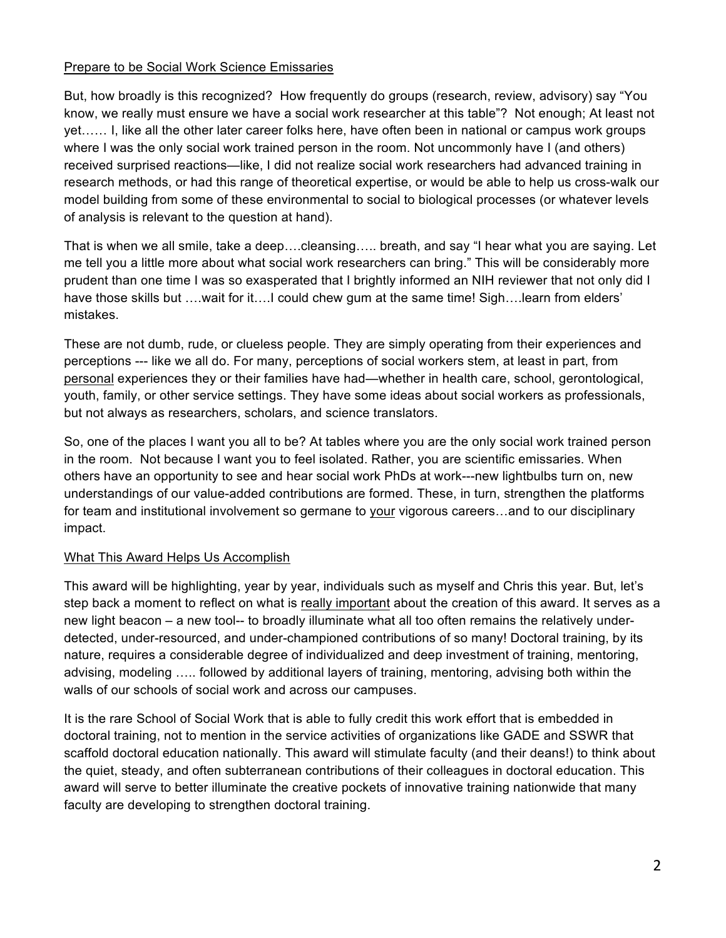### Prepare to be Social Work Science Emissaries

But, how broadly is this recognized? How frequently do groups (research, review, advisory) say "You know, we really must ensure we have a social work researcher at this table"? Not enough; At least not yet…… I, like all the other later career folks here, have often been in national or campus work groups where I was the only social work trained person in the room. Not uncommonly have I (and others) received surprised reactions—like, I did not realize social work researchers had advanced training in research methods, or had this range of theoretical expertise, or would be able to help us cross-walk our model building from some of these environmental to social to biological processes (or whatever levels of analysis is relevant to the question at hand).

That is when we all smile, take a deep….cleansing….. breath, and say "I hear what you are saying. Let me tell you a little more about what social work researchers can bring." This will be considerably more prudent than one time I was so exasperated that I brightly informed an NIH reviewer that not only did I have those skills but ….wait for it....I could chew gum at the same time! Sigh....Iearn from elders' mistakes.

These are not dumb, rude, or clueless people. They are simply operating from their experiences and perceptions --- like we all do. For many, perceptions of social workers stem, at least in part, from personal experiences they or their families have had—whether in health care, school, gerontological, youth, family, or other service settings. They have some ideas about social workers as professionals, but not always as researchers, scholars, and science translators.

So, one of the places I want you all to be? At tables where you are the only social work trained person in the room. Not because I want you to feel isolated. Rather, you are scientific emissaries. When others have an opportunity to see and hear social work PhDs at work---new lightbulbs turn on, new understandings of our value-added contributions are formed. These, in turn, strengthen the platforms for team and institutional involvement so germane to your vigorous careers…and to our disciplinary impact.

# What This Award Helps Us Accomplish

This award will be highlighting, year by year, individuals such as myself and Chris this year. But, let's step back a moment to reflect on what is really important about the creation of this award. It serves as a new light beacon – a new tool-- to broadly illuminate what all too often remains the relatively underdetected, under-resourced, and under-championed contributions of so many! Doctoral training, by its nature, requires a considerable degree of individualized and deep investment of training, mentoring, advising, modeling ….. followed by additional layers of training, mentoring, advising both within the walls of our schools of social work and across our campuses.

It is the rare School of Social Work that is able to fully credit this work effort that is embedded in doctoral training, not to mention in the service activities of organizations like GADE and SSWR that scaffold doctoral education nationally. This award will stimulate faculty (and their deans!) to think about the quiet, steady, and often subterranean contributions of their colleagues in doctoral education. This award will serve to better illuminate the creative pockets of innovative training nationwide that many faculty are developing to strengthen doctoral training.